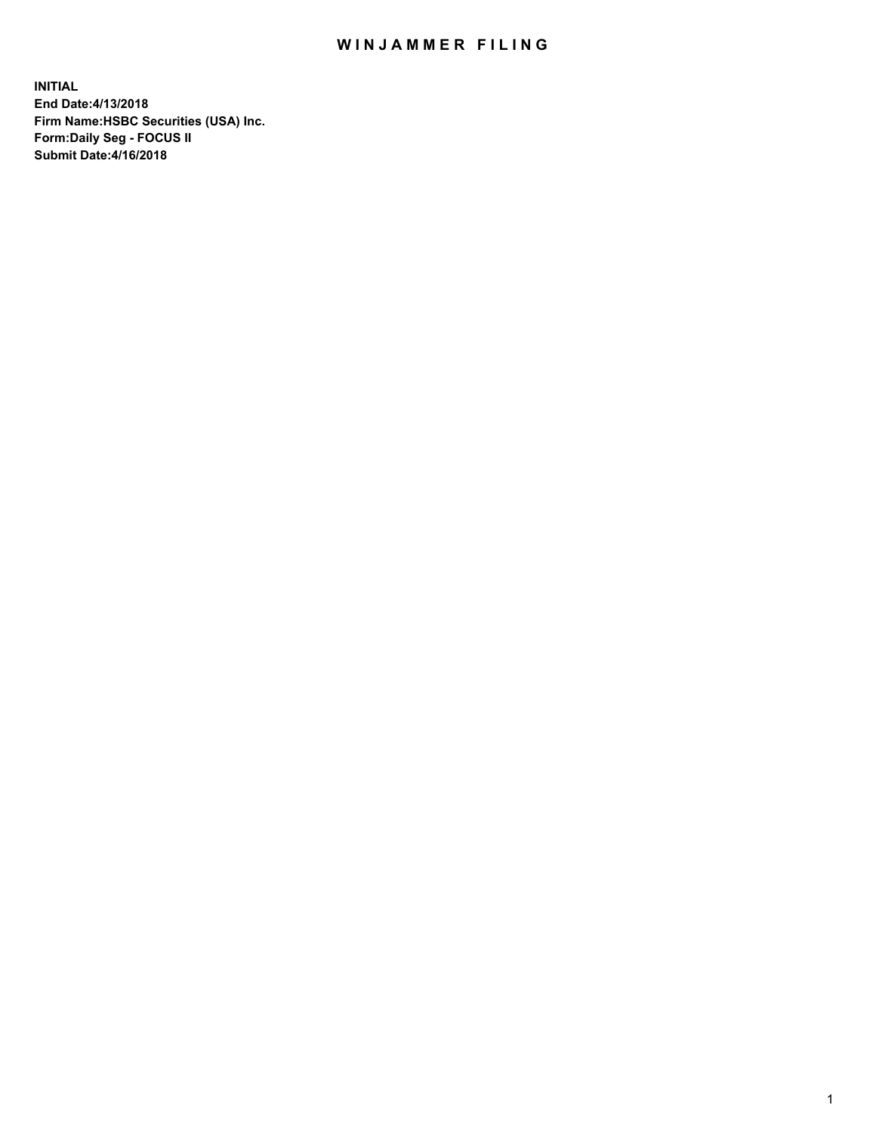## WIN JAMMER FILING

**INITIAL End Date:4/13/2018 Firm Name:HSBC Securities (USA) Inc. Form:Daily Seg - FOCUS II Submit Date:4/16/2018**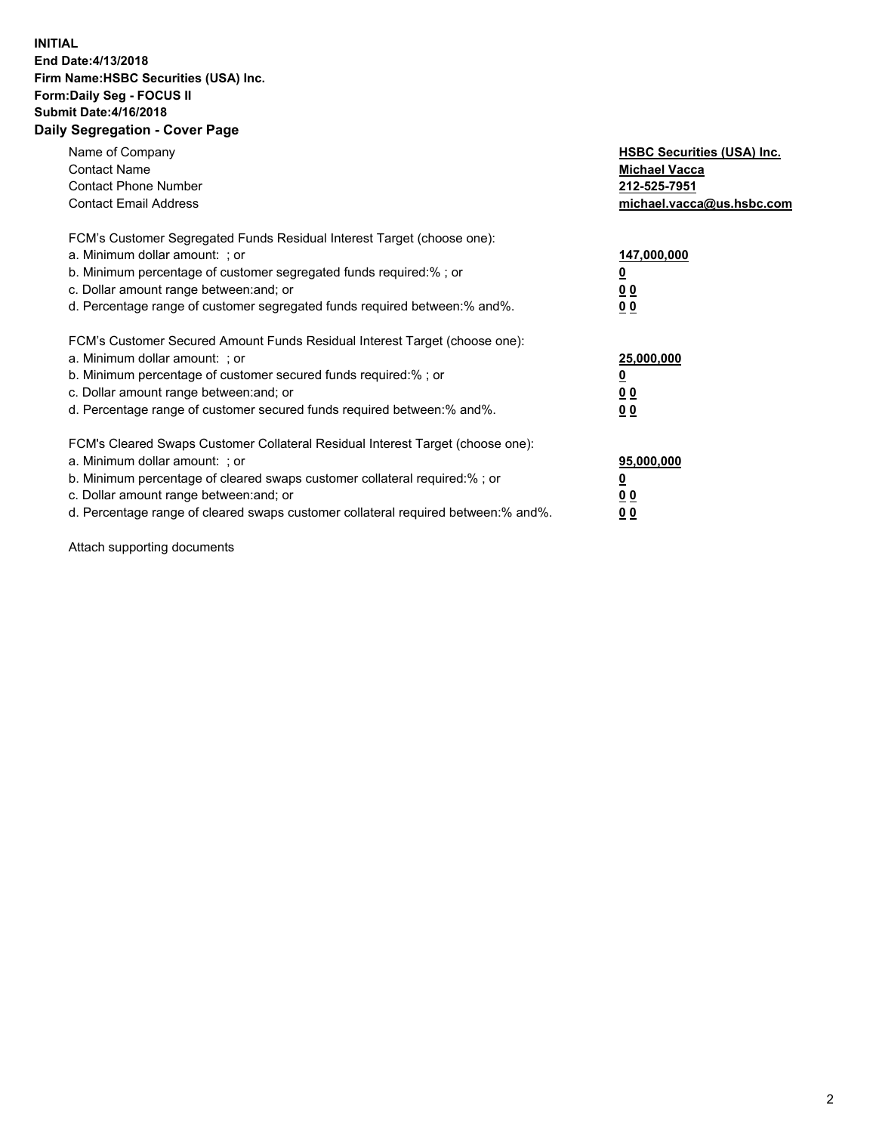## **INITIAL End Date:4/13/2018 Firm Name:HSBC Securities (USA) Inc. Form:Daily Seg - FOCUS II Submit Date:4/16/2018 Daily Segregation - Cover Page**

| Name of Company<br><b>Contact Name</b><br><b>Contact Phone Number</b><br><b>Contact Email Address</b>                                                                                                                                                                                                                         | <b>HSBC Securities (USA) Inc.</b><br><b>Michael Vacca</b><br>212-525-7951<br>michael.vacca@us.hsbc.com |
|-------------------------------------------------------------------------------------------------------------------------------------------------------------------------------------------------------------------------------------------------------------------------------------------------------------------------------|--------------------------------------------------------------------------------------------------------|
| FCM's Customer Segregated Funds Residual Interest Target (choose one):<br>a. Minimum dollar amount: ; or<br>b. Minimum percentage of customer segregated funds required:%; or<br>c. Dollar amount range between: and; or<br>d. Percentage range of customer segregated funds required between:% and%.                         | 147,000,000<br><u>0</u><br>0 <sub>0</sub><br>0 <sub>0</sub>                                            |
| FCM's Customer Secured Amount Funds Residual Interest Target (choose one):<br>a. Minimum dollar amount: ; or<br>b. Minimum percentage of customer secured funds required:%; or<br>c. Dollar amount range between: and; or<br>d. Percentage range of customer secured funds required between: % and %.                         | 25,000,000<br><u>0</u><br><u>00</u><br>0 <sub>0</sub>                                                  |
| FCM's Cleared Swaps Customer Collateral Residual Interest Target (choose one):<br>a. Minimum dollar amount: ; or<br>b. Minimum percentage of cleared swaps customer collateral required:%; or<br>c. Dollar amount range between: and; or<br>d. Percentage range of cleared swaps customer collateral required between:% and%. | 95,000,000<br><u>0</u><br>00<br><u>0 0</u>                                                             |

Attach supporting documents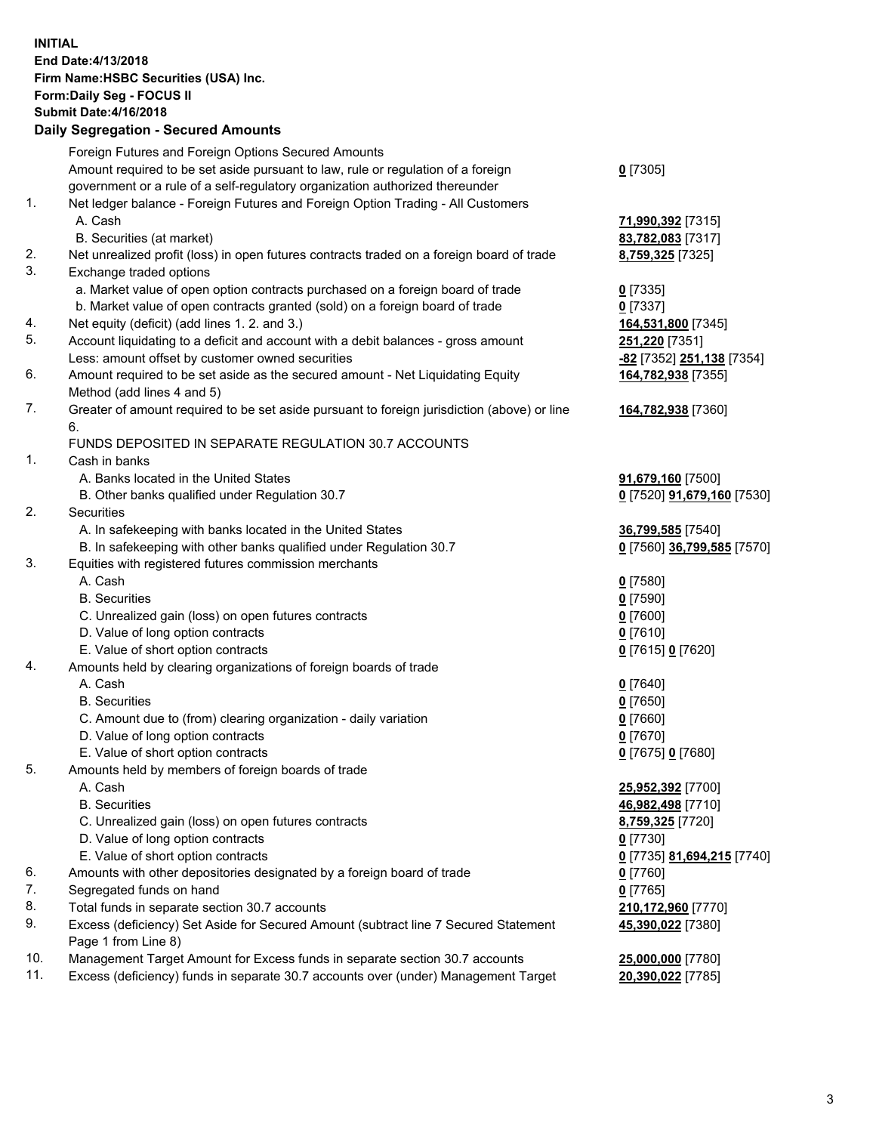**INITIAL End Date:4/13/2018 Firm Name:HSBC Securities (USA) Inc. Form:Daily Seg - FOCUS II Submit Date:4/16/2018 Daily Segregation - Secured Amounts**

|          | Foreign Futures and Foreign Options Secured Amounts                                                |                                        |
|----------|----------------------------------------------------------------------------------------------------|----------------------------------------|
|          | Amount required to be set aside pursuant to law, rule or regulation of a foreign                   | $0$ [7305]                             |
|          | government or a rule of a self-regulatory organization authorized thereunder                       |                                        |
| 1.       | Net ledger balance - Foreign Futures and Foreign Option Trading - All Customers                    |                                        |
|          | A. Cash                                                                                            | 71,990,392 [7315]                      |
|          | B. Securities (at market)                                                                          | 83,782,083 [7317]                      |
| 2.       | Net unrealized profit (loss) in open futures contracts traded on a foreign board of trade          | 8,759,325 [7325]                       |
| 3.       | Exchange traded options                                                                            |                                        |
|          | a. Market value of open option contracts purchased on a foreign board of trade                     | $0$ [7335]                             |
|          | b. Market value of open contracts granted (sold) on a foreign board of trade                       | $0$ [7337]                             |
| 4.       | Net equity (deficit) (add lines 1.2. and 3.)                                                       | 164,531,800 [7345]                     |
| 5.       | Account liquidating to a deficit and account with a debit balances - gross amount                  | 251,220 [7351]                         |
|          | Less: amount offset by customer owned securities                                                   | -82 [7352] 251,138 [7354]              |
| 6.       | Amount required to be set aside as the secured amount - Net Liquidating Equity                     | 164,782,938 [7355]                     |
|          | Method (add lines 4 and 5)                                                                         |                                        |
| 7.       | Greater of amount required to be set aside pursuant to foreign jurisdiction (above) or line        | 164,782,938 [7360]                     |
|          | 6.                                                                                                 |                                        |
|          | FUNDS DEPOSITED IN SEPARATE REGULATION 30.7 ACCOUNTS                                               |                                        |
| 1.       | Cash in banks                                                                                      |                                        |
|          | A. Banks located in the United States                                                              | 91,679,160 [7500]                      |
|          | B. Other banks qualified under Regulation 30.7                                                     | 0 [7520] 91,679,160 [7530]             |
| 2.       | Securities                                                                                         |                                        |
|          | A. In safekeeping with banks located in the United States                                          | 36,799,585 [7540]                      |
|          | B. In safekeeping with other banks qualified under Regulation 30.7                                 | 0 [7560] 36,799,585 [7570]             |
| 3.       | Equities with registered futures commission merchants                                              |                                        |
|          | A. Cash                                                                                            | $0$ [7580]                             |
|          | <b>B.</b> Securities                                                                               | $0$ [7590]                             |
|          | C. Unrealized gain (loss) on open futures contracts                                                | $0$ [7600]                             |
|          | D. Value of long option contracts                                                                  | $0$ [7610]                             |
|          | E. Value of short option contracts                                                                 | 0 [7615] 0 [7620]                      |
| 4.       | Amounts held by clearing organizations of foreign boards of trade                                  |                                        |
|          | A. Cash                                                                                            | $0$ [7640]                             |
|          | <b>B.</b> Securities                                                                               | $0$ [7650]                             |
|          | C. Amount due to (from) clearing organization - daily variation                                    | $0$ [7660]                             |
|          | D. Value of long option contracts                                                                  | $0$ [7670]                             |
|          | E. Value of short option contracts                                                                 | 0 [7675] 0 [7680]                      |
| 5.       | Amounts held by members of foreign boards of trade                                                 |                                        |
|          | A. Cash                                                                                            | 25,952,392 [7700]                      |
|          | <b>B.</b> Securities                                                                               | 46,982,498 [7710]                      |
|          | C. Unrealized gain (loss) on open futures contracts                                                | 8,759,325 [7720]                       |
|          | D. Value of long option contracts                                                                  | $0$ [7730]                             |
|          | E. Value of short option contracts                                                                 | 0 [7735] 81,694,215 [7740]             |
| 6.<br>7. | Amounts with other depositories designated by a foreign board of trade                             | $0$ [7760]                             |
| 8.       | Segregated funds on hand                                                                           | $0$ [7765]                             |
| 9.       | Total funds in separate section 30.7 accounts                                                      | 210,172,960 [7770]                     |
|          | Excess (deficiency) Set Aside for Secured Amount (subtract line 7 Secured Statement                | 45,390,022 [7380]                      |
| 10.      | Page 1 from Line 8)<br>Management Target Amount for Excess funds in separate section 30.7 accounts |                                        |
| 11.      | Excess (deficiency) funds in separate 30.7 accounts over (under) Management Target                 | 25,000,000 [7780]<br>20,390,022 [7785] |
|          |                                                                                                    |                                        |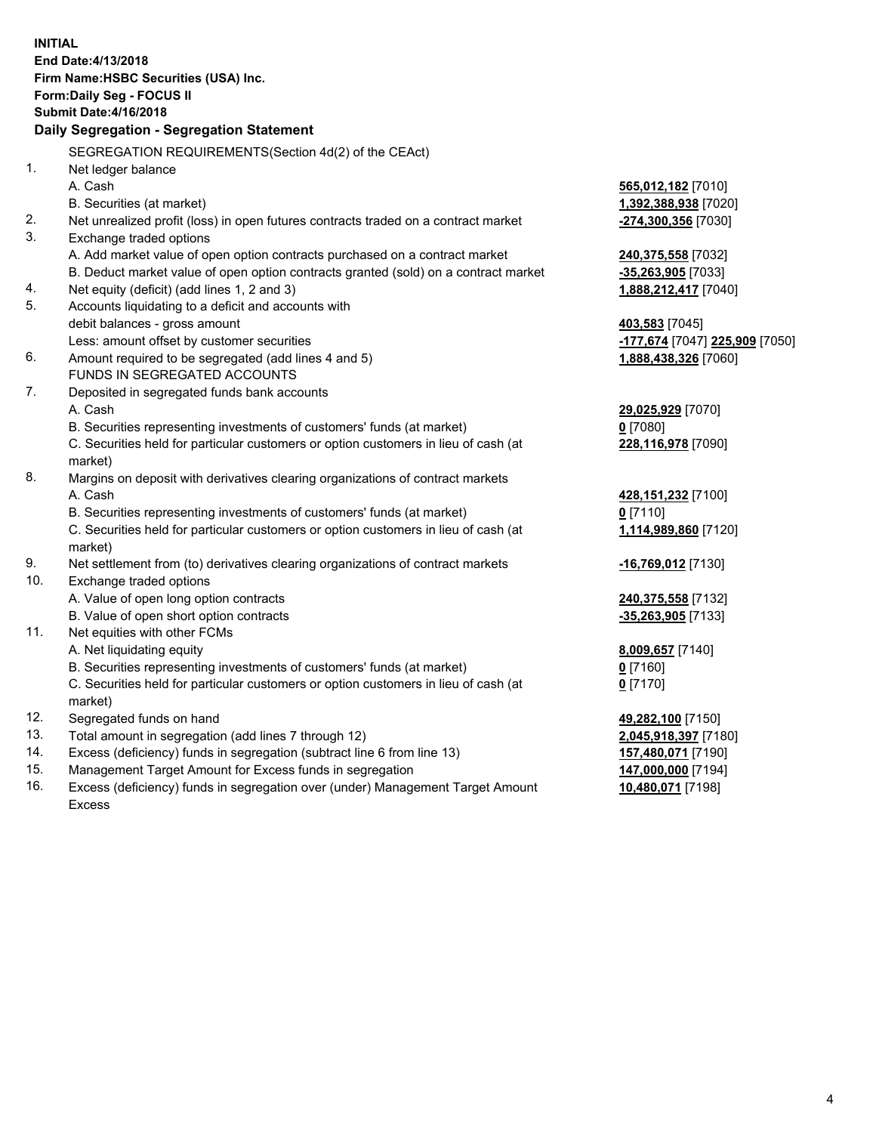**INITIAL End Date:4/13/2018 Firm Name:HSBC Securities (USA) Inc. Form:Daily Seg - FOCUS II Submit Date:4/16/2018 Daily Segregation - Segregation Statement** SEGREGATION REQUIREMENTS(Section 4d(2) of the CEAct) 1. Net ledger balance A. Cash **565,012,182** [7010] B. Securities (at market) **1,392,388,938** [7020] 2. Net unrealized profit (loss) in open futures contracts traded on a contract market **-274,300,356** [7030] 3. Exchange traded options A. Add market value of open option contracts purchased on a contract market **240,375,558** [7032] B. Deduct market value of open option contracts granted (sold) on a contract market **-35,263,905** [7033] 4. Net equity (deficit) (add lines 1, 2 and 3) **1,888,212,417** [7040] 5. Accounts liquidating to a deficit and accounts with debit balances - gross amount **403,583** [7045] Less: amount offset by customer securities **-177,674** [7047] **225,909** [7050] 6. Amount required to be segregated (add lines 4 and 5) **1,888,438,326** [7060] FUNDS IN SEGREGATED ACCOUNTS 7. Deposited in segregated funds bank accounts A. Cash **29,025,929** [7070] B. Securities representing investments of customers' funds (at market) **0** [7080] C. Securities held for particular customers or option customers in lieu of cash (at market) **228,116,978** [7090] 8. Margins on deposit with derivatives clearing organizations of contract markets A. Cash **428,151,232** [7100] B. Securities representing investments of customers' funds (at market) **0** [7110] C. Securities held for particular customers or option customers in lieu of cash (at market) **1,114,989,860** [7120] 9. Net settlement from (to) derivatives clearing organizations of contract markets **-16,769,012** [7130] 10. Exchange traded options A. Value of open long option contracts **240,375,558** [7132] B. Value of open short option contracts **-35,263,905** [7133] 11. Net equities with other FCMs A. Net liquidating equity **8,009,657** [7140] B. Securities representing investments of customers' funds (at market) **0** [7160] C. Securities held for particular customers or option customers in lieu of cash (at market) **0** [7170] 12. Segregated funds on hand **49,282,100** [7150] 13. Total amount in segregation (add lines 7 through 12) **2,045,918,397** [7180] 14. Excess (deficiency) funds in segregation (subtract line 6 from line 13) **157,480,071** [7190] 15. Management Target Amount for Excess funds in segregation **147,000,000** [7194]

16. Excess (deficiency) funds in segregation over (under) Management Target Amount Excess

**10,480,071** [7198]